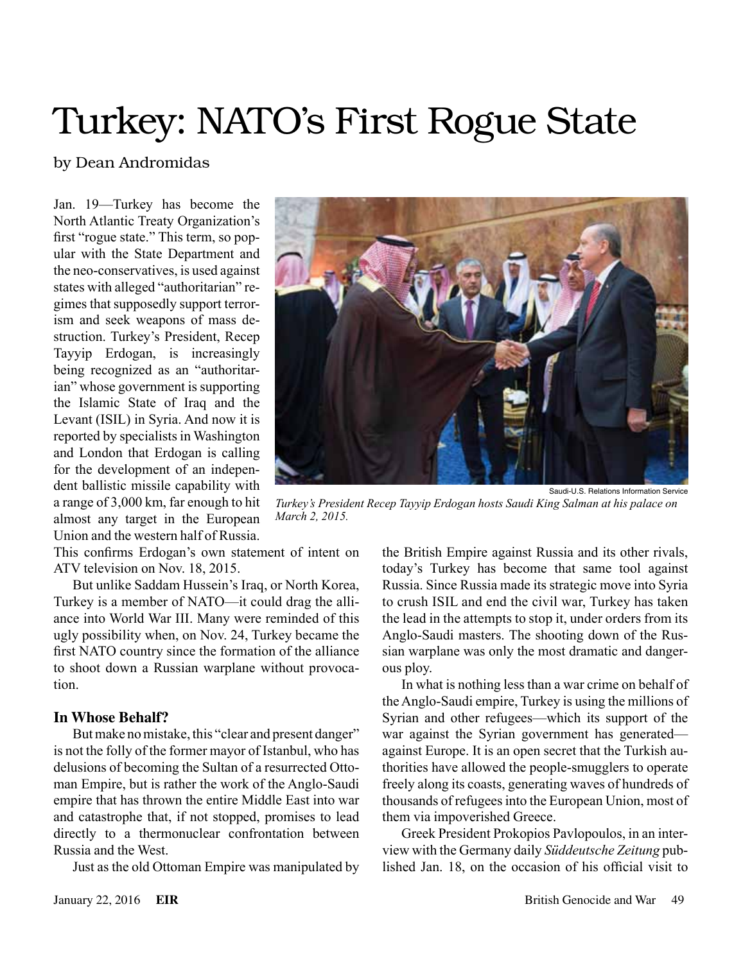# Turkey: NATO's First Rogue State

# by Dean Andromidas

Jan. 19—Turkey has become the North Atlantic Treaty Organization's first "rogue state." This term, so popular with the State Department and the neo-conservatives, is used against states with alleged "authoritarian" regimes that supposedly support terrorism and seek weapons of mass destruction. Turkey's President, Recep Tayyip Erdogan, is increasingly being recognized as an "authoritarian" whose government is supporting the Islamic State of Iraq and the Levant (ISIL) in Syria. And now it is reported by specialists in Washington and London that Erdogan is calling for the development of an independent ballistic missile capability with a range of 3,000 km, far enough to hit almost any target in the European Union and the western half of Russia.

Saudi-U.S. Relations Information Service

*Turkey's President Recep Tayyip Erdogan hosts Saudi King Salman at his palace on March 2, 2015.*

This confirms Erdogan's own statement of intent on ATV television on Nov. 18, 2015.

But unlike Saddam Hussein's Iraq, or North Korea, Turkey is a member of NATO—it could drag the alliance into World War III. Many were reminded of this ugly possibility when, on Nov. 24, Turkey became the first NATO country since the formation of the alliance to shoot down a Russian warplane without provocation.

#### **In Whose Behalf?**

But make no mistake, this "clear and present danger" is not the folly of the former mayor of Istanbul, who has delusions of becoming the Sultan of a resurrected Ottoman Empire, but is rather the work of the Anglo-Saudi empire that has thrown the entire Middle East into war and catastrophe that, if not stopped, promises to lead directly to a thermonuclear confrontation between Russia and the West.

Just as the old Ottoman Empire was manipulated by

the British Empire against Russia and its other rivals, today's Turkey has become that same tool against Russia. Since Russia made its strategic move into Syria to crush ISIL and end the civil war, Turkey has taken the lead in the attempts to stop it, under orders from its Anglo-Saudi masters. The shooting down of the Russian warplane was only the most dramatic and dangerous ploy.

In what is nothing less than a war crime on behalf of the Anglo-Saudi empire, Turkey is using the millions of Syrian and other refugees—which its support of the war against the Syrian government has generated against Europe. It is an open secret that the Turkish authorities have allowed the people-smugglers to operate freely along its coasts, generating waves of hundreds of thousands of refugees into the European Union, most of them via impoverished Greece.

Greek President Prokopios Pavlopoulos, in an interview with the Germany daily *Süddeutsche Zeitung* published Jan. 18, on the occasion of his official visit to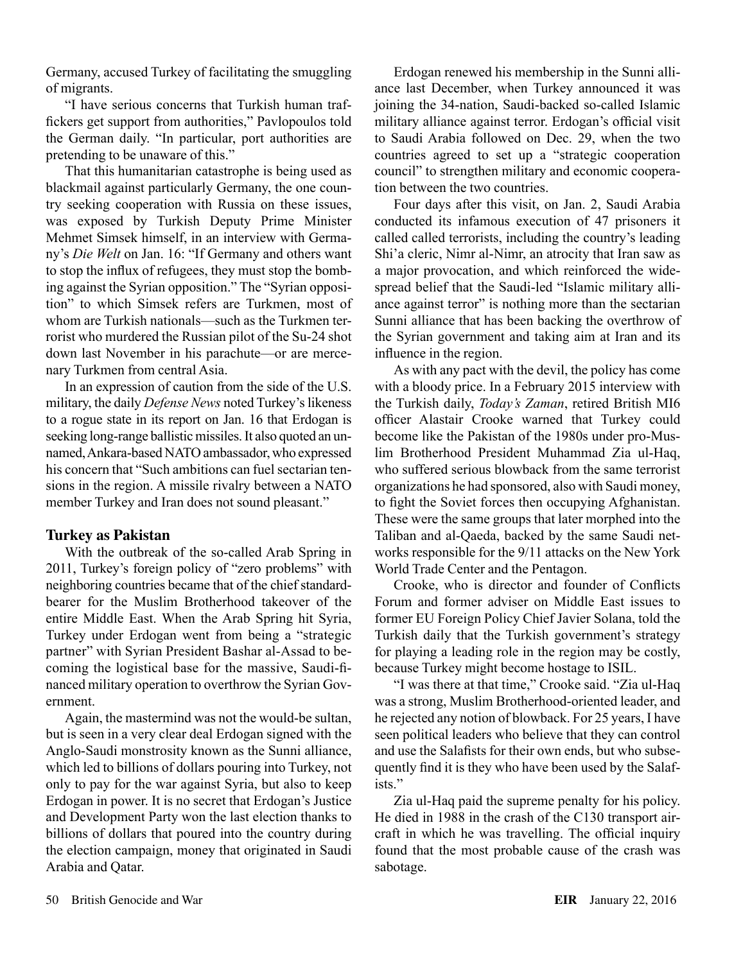Germany, accused Turkey of facilitating the smuggling of migrants.

"I have serious concerns that Turkish human traffickers get support from authorities," Pavlopoulos told the German daily. "In particular, port authorities are pretending to be unaware of this."

That this humanitarian catastrophe is being used as blackmail against particularly Germany, the one country seeking cooperation with Russia on these issues, was exposed by Turkish Deputy Prime Minister Mehmet Simsek himself, in an interview with Germany's *Die Welt* on Jan. 16: "If Germany and others want to stop the influx of refugees, they must stop the bombing against the Syrian opposition." The "Syrian opposition" to which Simsek refers are Turkmen, most of whom are Turkish nationals—such as the Turkmen terrorist who murdered the Russian pilot of the Su-24 shot down last November in his parachute—or are mercenary Turkmen from central Asia.

In an expression of caution from the side of the U.S. military, the daily *Defense News* noted Turkey's likeness to a rogue state in its report on Jan. 16 that Erdogan is seeking long-range ballistic missiles. It also quoted an unnamed, Ankara-based NATO ambassador, who expressed his concern that "Such ambitions can fuel sectarian tensions in the region. A missile rivalry between a NATO member Turkey and Iran does not sound pleasant."

## **Turkey as Pakistan**

With the outbreak of the so-called Arab Spring in 2011, Turkey's foreign policy of "zero problems" with neighboring countries became that of the chief standardbearer for the Muslim Brotherhood takeover of the entire Middle East. When the Arab Spring hit Syria, Turkey under Erdogan went from being a "strategic partner" with Syrian President Bashar al-Assad to becoming the logistical base for the massive, Saudi-financed military operation to overthrow the Syrian Government.

Again, the mastermind was not the would-be sultan, but is seen in a very clear deal Erdogan signed with the Anglo-Saudi monstrosity known as the Sunni alliance, which led to billions of dollars pouring into Turkey, not only to pay for the war against Syria, but also to keep Erdogan in power. It is no secret that Erdogan's Justice and Development Party won the last election thanks to billions of dollars that poured into the country during the election campaign, money that originated in Saudi Arabia and Qatar.

Erdogan renewed his membership in the Sunni alliance last December, when Turkey announced it was joining the 34-nation, Saudi-backed so-called Islamic military alliance against terror. Erdogan's official visit to Saudi Arabia followed on Dec. 29, when the two countries agreed to set up a "strategic cooperation council" to strengthen military and economic cooperation between the two countries.

Four days after this visit, on Jan. 2, Saudi Arabia conducted its infamous execution of 47 prisoners it called called terrorists, including the country's leading Shi'a cleric, Nimr al-Nimr, an atrocity that Iran saw as a major provocation, and which reinforced the widespread belief that the Saudi-led "Islamic military alliance against terror" is nothing more than the sectarian Sunni alliance that has been backing the overthrow of the Syrian government and taking aim at Iran and its influence in the region.

As with any pact with the devil, the policy has come with a bloody price. In a February 2015 interview with the Turkish daily, *Today's Zaman*, retired British MI6 officer Alastair Crooke warned that Turkey could become like the Pakistan of the 1980s under pro-Muslim Brotherhood President Muhammad Zia ul-Haq, who suffered serious blowback from the same terrorist organizations he had sponsored, also with Saudi money, to fight the Soviet forces then occupying Afghanistan. These were the same groups that later morphed into the Taliban and al-Qaeda, backed by the same Saudi networks responsible for the 9/11 attacks on the New York World Trade Center and the Pentagon.

Crooke, who is director and founder of Conflicts Forum and former adviser on Middle East issues to former EU Foreign Policy Chief Javier Solana, told the Turkish daily that the Turkish government's strategy for playing a leading role in the region may be costly, because Turkey might become hostage to ISIL.

"I was there at that time," Crooke said. "Zia ul-Haq was a strong, Muslim Brotherhood-oriented leader, and he rejected any notion of blowback. For 25 years, I have seen political leaders who believe that they can control and use the Salafists for their own ends, but who subsequently find it is they who have been used by the Salafists."

Zia ul-Haq paid the supreme penalty for his policy. He died in 1988 in the crash of the C130 transport aircraft in which he was travelling. The official inquiry found that the most probable cause of the crash was sabotage.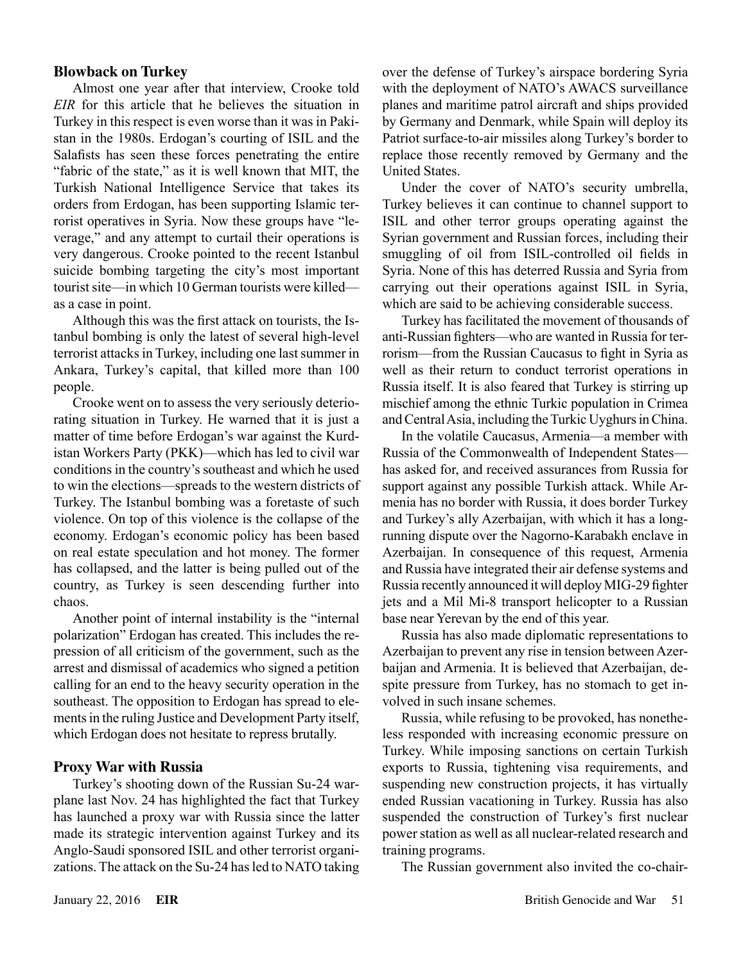#### **Blowback on Turkey**

Almost one year after that interview, Crooke told *EIR* for this article that he believes the situation in Turkey in this respect is even worse than it was in Pakistan in the 1980s. Erdogan's courting of ISIL and the Salafists has seen these forces penetrating the entire "fabric of the state," as it is well known that MIT, the Turkish National Intelligence Service that takes its orders from Erdogan, has been supporting Islamic terrorist operatives in Syria. Now these groups have "leverage," and any attempt to curtail their operations is very dangerous. Crooke pointed to the recent Istanbul suicide bombing targeting the city's most important tourist site—in which 10 German tourists were killed as a case in point.

Although this was the first attack on tourists, the Istanbul bombing is only the latest of several high-level terrorist attacks in Turkey, including one last summer in Ankara, Turkey's capital, that killed more than 100 people.

Crooke went on to assess the very seriously deteriorating situation in Turkey. He warned that it is just a matter of time before Erdogan's war against the Kurdistan Workers Party (PKK)—which has led to civil war conditions in the country's southeast and which he used to win the elections—spreads to the western districts of Turkey. The Istanbul bombing was a foretaste of such violence. On top of this violence is the collapse of the economy. Erdogan's economic policy has been based on real estate speculation and hot money. The former has collapsed, and the latter is being pulled out of the country, as Turkey is seen descending further into chaos.

Another point of internal instability is the "internal polarization" Erdogan has created. This includes the repression of all criticism of the government, such as the arrest and dismissal of academics who signed a petition calling for an end to the heavy security operation in the southeast. The opposition to Erdogan has spread to elements in the ruling Justice and Development Party itself, which Erdogan does not hesitate to repress brutally.

#### **Proxy War with Russia**

Turkey's shooting down of the Russian Su-24 warplane last Nov. 24 has highlighted the fact that Turkey has launched a proxy war with Russia since the latter made its strategic intervention against Turkey and its Anglo-Saudi sponsored ISIL and other terrorist organizations. The attack on the Su-24 has led to NATO taking over the defense of Turkey's airspace bordering Syria with the deployment of NATO's AWACS surveillance planes and maritime patrol aircraft and ships provided by Germany and Denmark, while Spain will deploy its Patriot surface-to-air missiles along Turkey's border to replace those recently removed by Germany and the United States.

Under the cover of NATO's security umbrella, Turkey believes it can continue to channel support to ISIL and other terror groups operating against the Syrian government and Russian forces, including their smuggling of oil from ISIL-controlled oil fields in Syria. None of this has deterred Russia and Syria from carrying out their operations against ISIL in Syria, which are said to be achieving considerable success.

Turkey has facilitated the movement of thousands of anti-Russian fighters—who are wanted in Russia for terrorism—from the Russian Caucasus to fight in Syria as well as their return to conduct terrorist operations in Russia itself. It is also feared that Turkey is stirring up mischief among the ethnic Turkic population in Crimea and Central Asia, including the Turkic Uyghurs in China.

In the volatile Caucasus, Armenia—a member with Russia of the Commonwealth of Independent States has asked for, and received assurances from Russia for support against any possible Turkish attack. While Armenia has no border with Russia, it does border Turkey and Turkey's ally Azerbaijan, with which it has a longrunning dispute over the Nagorno-Karabakh enclave in Azerbaijan. In consequence of this request, Armenia and Russia have integrated their air defense systems and Russia recently announced it will deploy MIG-29 fighter jets and a Mil Mi-8 transport helicopter to a Russian base near Yerevan by the end of this year.

Russia has also made diplomatic representations to Azerbaijan to prevent any rise in tension between Azerbaijan and Armenia. It is believed that Azerbaijan, despite pressure from Turkey, has no stomach to get involved in such insane schemes.

Russia, while refusing to be provoked, has nonetheless responded with increasing economic pressure on Turkey. While imposing sanctions on certain Turkish exports to Russia, tightening visa requirements, and suspending new construction projects, it has virtually ended Russian vacationing in Turkey. Russia has also suspended the construction of Turkey's first nuclear power station as well as all nuclear-related research and training programs.

The Russian government also invited the co-chair-